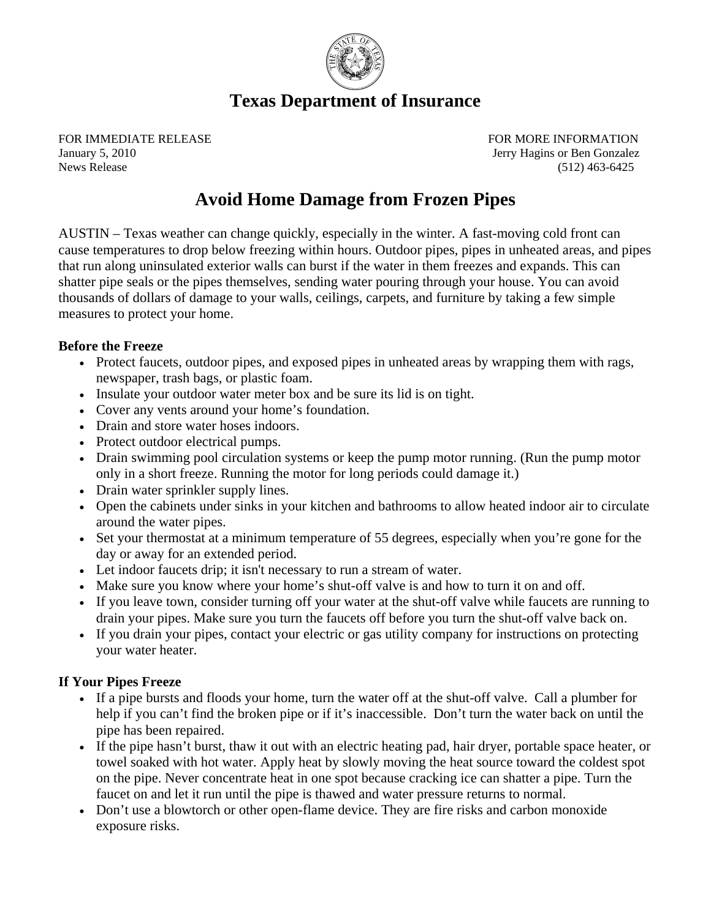

# **Texas Department of Insurance**

FOR IMMEDIATE RELEASE FOR MORE INFORMATION January 5, 2010 Jerry Hagins or Ben Gonzalez News Release (512) 463-6425

# **Avoid Home Damage from Frozen Pipes**

AUSTIN – Texas weather can change quickly, especially in the winter. A fast-moving cold front can cause temperatures to drop below freezing within hours. Outdoor pipes, pipes in unheated areas, and pipes that run along uninsulated exterior walls can burst if the water in them freezes and expands. This can shatter pipe seals or the pipes themselves, sending water pouring through your house. You can avoid thousands of dollars of damage to your walls, ceilings, carpets, and furniture by taking a few simple measures to protect your home.

## **Before the Freeze**

- Protect faucets, outdoor pipes, and exposed pipes in unheated areas by wrapping them with rags, newspaper, trash bags, or plastic foam.
- Insulate your outdoor water meter box and be sure its lid is on tight.
- Cover any vents around your home's foundation.
- Drain and store water hoses indoors.
- Protect outdoor electrical pumps.
- Drain swimming pool circulation systems or keep the pump motor running. (Run the pump motor only in a short freeze. Running the motor for long periods could damage it.)
- Drain water sprinkler supply lines.
- Open the cabinets under sinks in your kitchen and bathrooms to allow heated indoor air to circulate around the water pipes.
- Set your thermostat at a minimum temperature of 55 degrees, especially when you're gone for the day or away for an extended period.
- Let indoor faucets drip; it isn't necessary to run a stream of water.
- Make sure you know where your home's shut-off valve is and how to turn it on and off.
- If you leave town, consider turning off your water at the shut-off valve while faucets are running to drain your pipes. Make sure you turn the faucets off before you turn the shut-off valve back on.
- If you drain your pipes, contact your electric or gas utility company for instructions on protecting your water heater.

# **If Your Pipes Freeze**

- If a pipe bursts and floods your home, turn the water off at the shut-off valve. Call a plumber for help if you can't find the broken pipe or if it's inaccessible. Don't turn the water back on until the pipe has been repaired.
- If the pipe hasn't burst, thaw it out with an electric heating pad, hair dryer, portable space heater, or towel soaked with hot water. Apply heat by slowly moving the heat source toward the coldest spot on the pipe. Never concentrate heat in one spot because cracking ice can shatter a pipe. Turn the faucet on and let it run until the pipe is thawed and water pressure returns to normal.
- Don't use a blowtorch or other open-flame device. They are fire risks and carbon monoxide exposure risks.